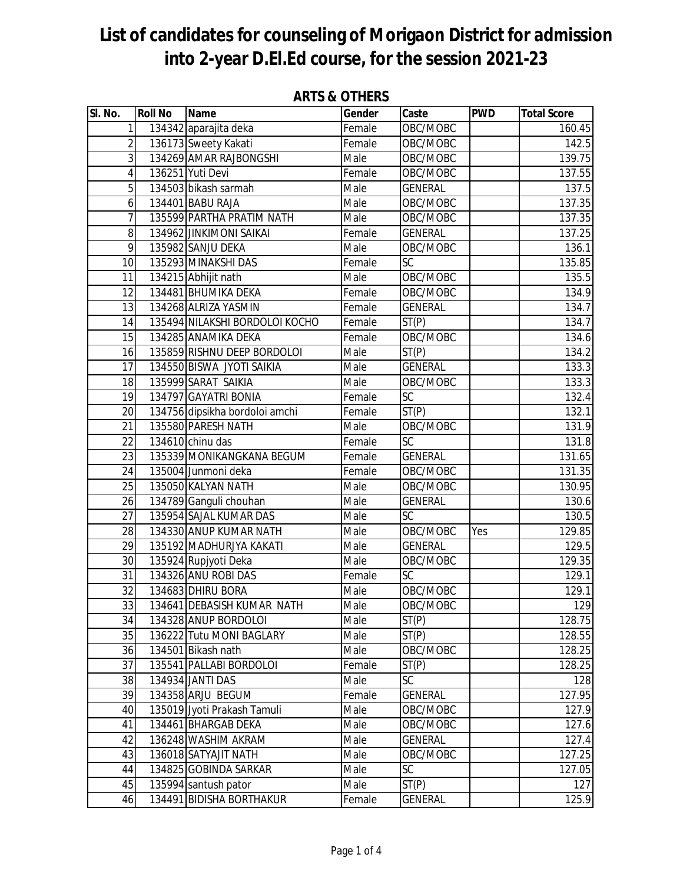| SI. No.               | <b>Roll No</b> | <b>Name</b>                                       | Gender       | Caste                       | <b>PWD</b> | <b>Total Score</b> |
|-----------------------|----------------|---------------------------------------------------|--------------|-----------------------------|------------|--------------------|
| $\mathbf{1}$          |                | 134342 aparajita deka                             | Female       | OBC/MOBC                    |            | 160.45             |
| $\overline{2}$        |                | 136173 Sweety Kakati                              | Female       | OBC/MOBC                    |            | 142.5              |
| $\overline{3}$        |                | 134269 AMAR RAJBONGSHI                            | Male         | OBC/MOBC                    |            | 139.75             |
| 4                     |                | 136251 Yuti Devi                                  | Female       | OBC/MOBC                    |            | 137.55             |
| 5                     |                | 134503 bikash sarmah                              | Male         | <b>GENERAL</b>              |            | 137.5              |
| 6                     |                | 134401 BABU RAJA                                  | Male         | OBC/MOBC                    |            | 137.35             |
| $\overline{7}$        |                | 135599 PARTHA PRATIM NATH                         | Male         | OBC/MOBC                    |            | 137.35             |
| 8                     |                | 134962 JINKIMONI SAIKAI                           | Female       | <b>GENERAL</b>              |            | 137.25             |
| 9                     |                | 135982 SANJU DEKA                                 | Male         | OBC/MOBC                    |            | 136.1              |
| 10                    |                | 135293 MINAKSHI DAS                               | Female       | SC                          |            | 135.85             |
| 11                    |                | 134215 Abhijit nath                               | Male         | OBC/MOBC                    |            | 135.5              |
| 12                    |                | 134481 BHUMIKA DEKA                               | Female       | OBC/MOBC                    |            | 134.9              |
| 13                    |                | 134268 ALRIZA YASMIN                              | Female       | <b>GENERAL</b>              |            | 134.7              |
| 14                    |                | 135494 NILAKSHI BORDOLOI KOCHO                    | Female       | ST(P)                       |            | 134.7              |
| 15                    |                | 134285 ANAMIKA DEKA                               | Female       | OBC/MOBC                    |            | 134.6              |
| 16                    |                | 135859 RISHNU DEEP BORDOLOI                       | Male         | ST(P)                       |            | 134.2              |
| 17                    |                | 134550 BISWA JYOTI SAIKIA                         | Male         | <b>GENERAL</b>              |            | 133.3              |
| 18                    |                | 135999 SARAT SAIKIA                               | Male         | OBC/MOBC                    |            | 133.3              |
| 19                    |                | 134797 GAYATRI BONIA                              | Female       | <b>SC</b>                   |            | 132.4              |
| 20                    |                | 134756 dipsikha bordoloi amchi                    | Female       | ST(P)                       |            | 132.1              |
| 21                    |                | 135580 PARESH NATH                                | Male         | OBC/MOBC                    |            | 131.9              |
| 22                    |                | 134610 chinu das                                  | Female       | $\overline{SC}$             |            | 131.8              |
| $\overline{23}$       |                | 135339 MONIKANGKANA BEGUM                         | Female       | <b>GENERAL</b>              |            | 131.65             |
| 24                    |                | 135004 Junmoni deka                               | Female       | OBC/MOBC                    |            | 131.35             |
| 25                    |                | 135050 KALYAN NATH                                | Male         | OBC/MOBC                    |            | 130.95             |
| 26<br>$\overline{27}$ |                | 134789 Ganguli chouhan                            | Male         | <b>GENERAL</b><br><b>SC</b> |            | 130.6              |
| 28                    |                | 135954 SAJAL KUMAR DAS                            | Male         | OBC/MOBC                    |            | 130.5<br>129.85    |
| 29                    |                | 134330 ANUP KUMAR NATH<br>135192 MADHURJYA KAKATI | Male<br>Male | <b>GENERAL</b>              | Yes        | 129.5              |
| 30                    |                | 135924 Rupjyoti Deka                              | Male         | OBC/MOBC                    |            | 129.35             |
| 31                    |                | 134326 ANU ROBI DAS                               | Female       | $\overline{SC}$             |            | 129.1              |
| $\overline{32}$       |                | 134683 DHIRU BORA                                 | Male         | OBC/MOBC                    |            | 129.1              |
| 33                    |                | 134641 DEBASISH KUMAR NATH                        | Male         | OBC/MOBC                    |            | 129                |
| 34                    |                | 134328 ANUP BORDOLOI                              | Male         | $\overline{ST}(P)$          |            | 128.75             |
| 35                    |                | 136222 Tutu MONI BAGLARY                          | Male         | ST(P)                       |            | 128.55             |
| 36                    |                | 134501 Bikash nath                                | Male         | OBC/MOBC                    |            | 128.25             |
| 37                    |                | 135541 PALLABI BORDOLOI                           | Female       | ST(P)                       |            | 128.25             |
| 38                    |                | 134934 JANTI DAS                                  | Male         | <b>SC</b>                   |            | 128                |
| 39                    |                | 134358 ARJU BEGUM                                 | Female       | <b>GENERAL</b>              |            | 127.95             |
| 40                    |                | 135019 Jyoti Prakash Tamuli                       | Male         | OBC/MOBC                    |            | 127.9              |
| 41                    |                | 134461 BHARGAB DEKA                               | Male         | OBC/MOBC                    |            | 127.6              |
| 42                    |                | 136248 WASHIM AKRAM                               | Male         | <b>GENERAL</b>              |            | 127.4              |
| 43                    |                | 136018 SATYAJIT NATH                              | Male         | OBC/MOBC                    |            | 127.25             |
| 44                    |                | 134825 GOBINDA SARKAR                             | Male         | <b>SC</b>                   |            | 127.05             |
| 45                    |                | 135994 santush pator                              | Male         | ST(P)                       |            | 127                |
| 46                    |                | 134491 BIDISHA BORTHAKUR                          | Female       | <b>GENERAL</b>              |            | 125.9              |

### **ARTS & OTHERS**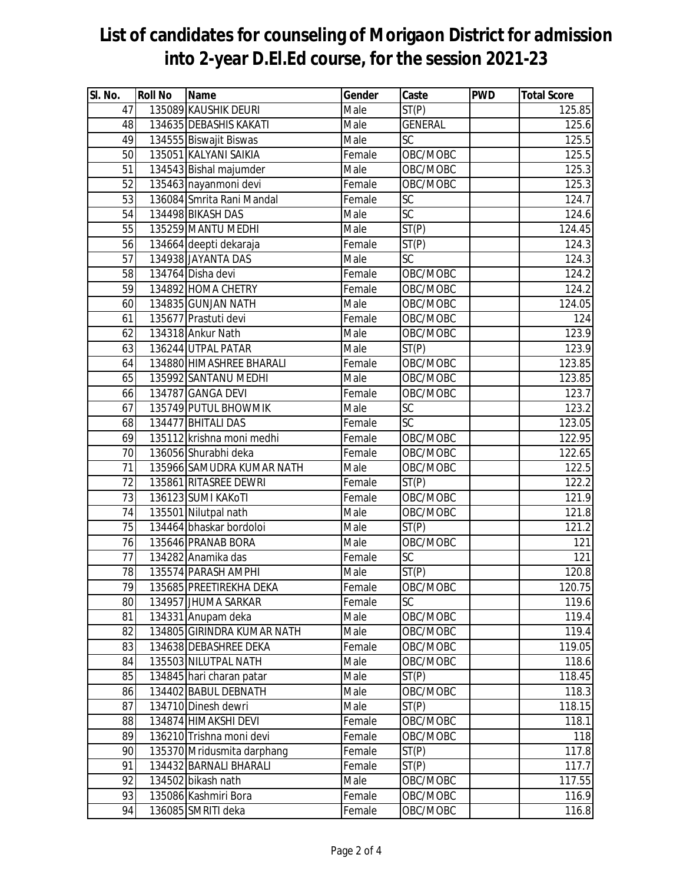| SI. No. | <b>Roll No</b> | <b>Name</b>                | Gender | Caste           | <b>PWD</b> | <b>Total Score</b> |
|---------|----------------|----------------------------|--------|-----------------|------------|--------------------|
| 47      |                | 135089 KAUSHIK DEURI       | Male   | ST(P)           |            | 125.85             |
| 48      |                | 134635 DEBASHIS KAKATI     | Male   | <b>GENERAL</b>  |            | 125.6              |
| 49      |                | 134555 Biswajit Biswas     | Male   | SC              |            | 125.5              |
| 50      |                | 135051 KALYANI SAIKIA      | Female | OBC/MOBC        |            | 125.5              |
| 51      |                | 134543 Bishal majumder     | Male   | OBC/MOBC        |            | 125.3              |
| 52      |                | 135463 nayanmoni devi      | Female | OBC/MOBC        |            | 125.3              |
| 53      |                | 136084 Smrita Rani Mandal  | Female | $\overline{SC}$ |            | 124.7              |
| 54      |                | 134498 BIKASH DAS          | Male   | $\overline{SC}$ |            | 124.6              |
| 55      |                | 135259 MANTU MEDHI         | Male   | ST(P)           |            | 124.45             |
| 56      |                | 134664 deepti dekaraja     | Female | ST(P)           |            | 124.3              |
| 57      |                | 134938 JAYANTA DAS         | Male   | <b>SC</b>       |            | 124.3              |
| 58      |                | 134764 Disha devi          | Female | OBC/MOBC        |            | 124.2              |
| 59      |                | 134892 HOMA CHETRY         | Female | OBC/MOBC        |            | 124.2              |
| 60      |                | 134835 GUNJAN NATH         | Male   | OBC/MOBC        |            | 124.05             |
| 61      |                | 135677 Prastuti devi       | Female | OBC/MOBC        |            | 124                |
| 62      |                | 134318 Ankur Nath          | Male   | OBC/MOBC        |            | 123.9              |
| 63      |                | 136244 UTPAL PATAR         | Male   | ST(P)           |            | 123.9              |
| 64      |                | 134880 HIMASHREE BHARALI   | Female | OBC/MOBC        |            | 123.85             |
| 65      |                | 135992 SANTANU MEDHI       | Male   | OBC/MOBC        |            | 123.85             |
| 66      |                | 134787 GANGA DEVI          | Female | OBC/MOBC        |            | 123.7              |
| 67      |                | 135749 PUTUL BHOWMIK       | Male   | SC              |            | 123.2              |
| 68      |                | 134477 BHITALI DAS         | Female | $\overline{SC}$ |            | 123.05             |
| 69      |                | 135112 krishna moni medhi  | Female | OBC/MOBC        |            | 122.95             |
| 70      |                | 136056 Shurabhi deka       | Female | OBC/MOBC        |            | 122.65             |
| 71      |                | 135966 SAMUDRA KUMAR NATH  | Male   | OBC/MOBC        |            | 122.5              |
| 72      |                | 135861 RITASREE DEWRI      | Female | ST(P)           |            | 122.2              |
| 73      |                | 136123 SUMI KAKOTI         | Female | OBC/MOBC        |            | 121.9              |
| 74      |                | 135501 Nilutpal nath       | Male   | OBC/MOBC        |            | 121.8              |
| 75      |                | 134464 bhaskar bordoloi    | Male   | ST(P)           |            | 121.2              |
| 76      |                | 135646 PRANAB BORA         | Male   | OBC/MOBC        |            | 121                |
| 77      |                | 134282 Anamika das         | Female | $\overline{SC}$ |            | 121                |
| 78      |                | 135574 PARASH AMPHI        | Male   | ST(P)           |            | 120.8              |
| 79      |                | 135685 PREETIREKHA DEKA    | Female | OBC/MOBC        |            | 120.75             |
| 80      |                | 134957 JHUMA SARKAR        | Female | SC              |            | 119.6              |
| 81      |                | 134331 Anupam deka         | Male   | OBC/MOBC        |            | 119.4              |
| 82      |                | 134805 GIRINDRA KUMAR NATH | Male   | OBC/MOBC        |            | 119.4              |
| 83      |                | 134638 DEBASHREE DEKA      | Female | OBC/MOBC        |            | 119.05             |
| 84      |                | 135503 NILUTPAL NATH       | Male   | OBC/MOBC        |            | 118.6              |
| 85      |                | 134845 hari charan patar   | Male   | ST(P)           |            | 118.45             |
| 86      |                | 134402 BABUL DEBNATH       | Male   | OBC/MOBC        |            | 118.3              |
| 87      |                | 134710 Dinesh dewri        | Male   | ST(P)           |            | 118.15             |
| 88      |                | 134874 HIMAKSHI DEVI       | Female | OBC/MOBC        |            | 118.1              |
| 89      |                | 136210 Trishna moni devi   | Female | OBC/MOBC        |            | 118                |
| 90      |                | 135370 Mridusmita darphang | Female | ST(P)           |            | 117.8              |
| 91      |                | 134432 BARNALI BHARALI     | Female | ST(P)           |            | 117.7              |
| 92      |                | 134502 bikash nath         | Male   | OBC/MOBC        |            | 117.55             |
| 93      |                | 135086 Kashmiri Bora       | Female | OBC/MOBC        |            | 116.9              |
| 94      |                | 136085 SMRITI deka         | Female | OBC/MOBC        |            | 116.8              |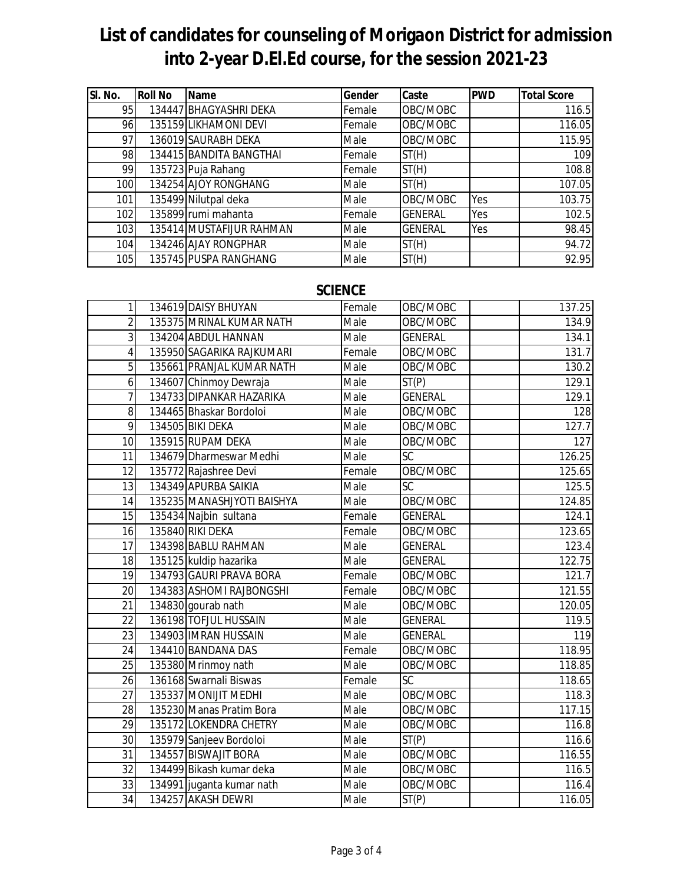| SI. No. | <b>Roll No</b> | <b>Name</b>              | Gender | Caste          | <b>PWD</b> | <b>Total Score</b> |
|---------|----------------|--------------------------|--------|----------------|------------|--------------------|
| 95      |                | 134447 BHAGYASHRI DEKA   | Female | OBC/MOBC       |            | 116.5              |
| 96      |                | 135159 LIKHAMONI DEVI    | Female | OBC/MOBC       |            | 116.05             |
| 97      |                | 136019 SAURABH DEKA      | Male   | OBC/MOBC       |            | 115.95             |
| 98      |                | 134415 BANDITA BANGTHAI  | Female | ST(H)          |            | 109                |
| 99      |                | 135723 Puja Rahang       | Female | ST(H)          |            | 108.8              |
| 100     |                | 134254 AJOY RONGHANG     | Male   | ST(H)          |            | 107.05             |
| 101     |                | 135499 Nilutpal deka     | Male   | OBC/MOBC       | Yes        | 103.75             |
| 102     |                | 135899 rumi mahanta      | Female | <b>GENERAL</b> | Yes        | 102.5              |
| 103     |                | 135414 MUSTAFIJUR RAHMAN | Male   | <b>GENERAL</b> | Yes        | 98.45              |
| 104     |                | 134246 AJAY RONGPHAR     | Male   | ST(H)          |            | 94.72              |
| 105     |                | 135745 PUSPA RANGHANG    | Male   | ST(H)          |            | 92.95              |

### **SCIENCE**

| $\mathbf{1}$    | 134619 DAISY BHUYAN        | Female | OBC/MOBC        | 137.25 |
|-----------------|----------------------------|--------|-----------------|--------|
| $\overline{2}$  | 135375 MRINAL KUMAR NATH   | Male   | OBC/MOBC        | 134.9  |
| 3               | 134204 ABDUL HANNAN        | Male   | <b>GENERAL</b>  | 134.1  |
| $\overline{4}$  | 135950 SAGARIKA RAJKUMARI  | Female | OBC/MOBC        | 131.7  |
| 5               | 135661 PRANJAL KUMAR NATH  | Male   | OBC/MOBC        | 130.2  |
| $\overline{6}$  | 134607 Chinmoy Dewraja     | Male   | ST(P)           | 129.1  |
| $\overline{7}$  | 134733 DIPANKAR HAZARIKA   | Male   | <b>GENERAL</b>  | 129.1  |
| 8               | 134465 Bhaskar Bordoloi    | Male   | OBC/MOBC        | 128    |
| 9               | 134505 BIKI DEKA           | Male   | OBC/MOBC        | 127.7  |
| 10              | 135915 RUPAM DEKA          | Male   | OBC/MOBC        | 127    |
| 11              | 134679 Dharmeswar Medhi    | Male   | $\overline{SC}$ | 126.25 |
| 12              | 135772 Rajashree Devi      | Female | OBC/MOBC        | 125.65 |
| 13              | 134349 APURBA SAIKIA       | Male   | SC              | 125.5  |
| 14              | 135235 MANASHJYOTI BAISHYA | Male   | OBC/MOBC        | 124.85 |
| 15              | 135434 Najbin sultana      | Female | <b>GENERAL</b>  | 124.1  |
| 16              | 135840 RIKI DEKA           | Female | OBC/MOBC        | 123.65 |
| 17              | 134398 BABLU RAHMAN        | Male   | <b>GENERAL</b>  | 123.4  |
| 18              | 135125 kuldip hazarika     | Male   | <b>GENERAL</b>  | 122.75 |
| 19              | 134793 GAURI PRAVA BORA    | Female | OBC/MOBC        | 121.7  |
| 20              | 134383 ASHOMI RAJBONGSHI   | Female | OBC/MOBC        | 121.55 |
| 21              | 134830 gourab nath         | Male   | OBC/MOBC        | 120.05 |
| 22              | 136198 TOFJUL HUSSAIN      | Male   | <b>GENERAL</b>  | 119.5  |
| 23              | 134903 IMRAN HUSSAIN       | Male   | <b>GENERAL</b>  | 119    |
| 24              | 134410 BANDANA DAS         | Female | OBC/MOBC        | 118.95 |
| 25              | 135380 Mrinmoy nath        | Male   | OBC/MOBC        | 118.85 |
| $\overline{26}$ | 136168 Swarnali Biswas     | Female | $\overline{SC}$ | 118.65 |
| 27              | 135337 MONIJIT MEDHI       | Male   | OBC/MOBC        | 118.3  |
| 28              | 135230 Manas Pratim Bora   | Male   | OBC/MOBC        | 117.15 |
| 29              | 135172 LOKENDRA CHETRY     | Male   | OBC/MOBC        | 116.8  |
| 30              | 135979 Sanjeev Bordoloi    | Male   | ST(P)           | 116.6  |
| $\overline{31}$ | 134557 BISWAJIT BORA       | Male   | OBC/MOBC        | 116.55 |
| 32              | 134499 Bikash kumar deka   | Male   | OBC/MOBC        | 116.5  |
| 33              | 134991 juganta kumar nath  | Male   | OBC/MOBC        | 116.4  |
| 34              | 134257 AKASH DEWRI         | Male   | ST(P)           | 116.05 |